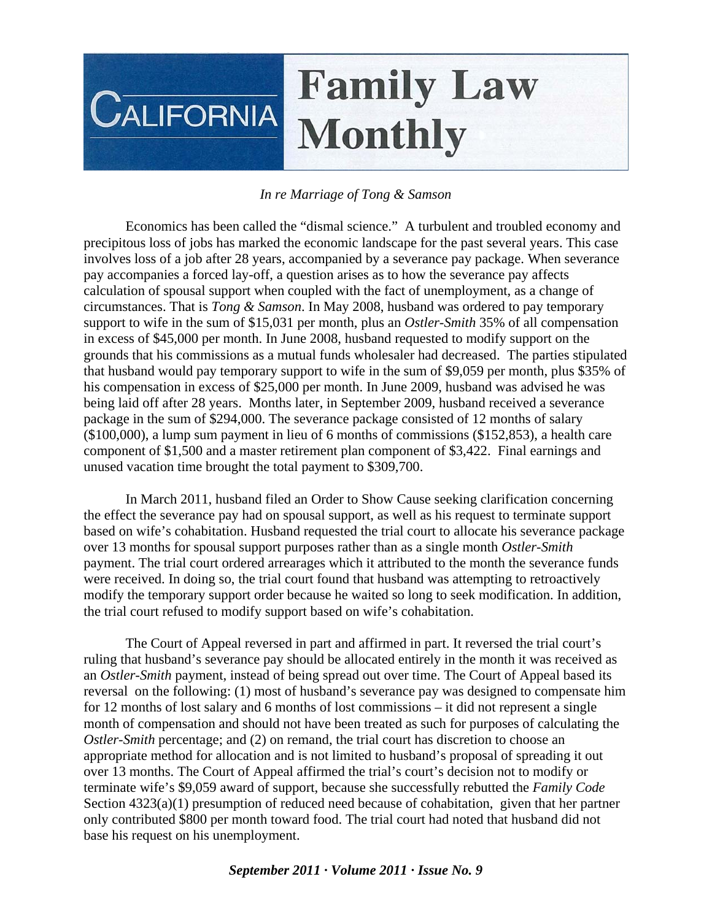## **Family Law CALIFORNIA Monthly**

## *In re Marriage of Tong & Samson*

 Economics has been called the "dismal science." A turbulent and troubled economy and precipitous loss of jobs has marked the economic landscape for the past several years. This case involves loss of a job after 28 years, accompanied by a severance pay package. When severance pay accompanies a forced lay-off, a question arises as to how the severance pay affects calculation of spousal support when coupled with the fact of unemployment, as a change of circumstances. That is *Tong & Samson*. In May 2008, husband was ordered to pay temporary support to wife in the sum of \$15,031 per month, plus an *Ostler-Smith* 35% of all compensation in excess of \$45,000 per month. In June 2008, husband requested to modify support on the grounds that his commissions as a mutual funds wholesaler had decreased. The parties stipulated that husband would pay temporary support to wife in the sum of \$9,059 per month, plus \$35% of his compensation in excess of \$25,000 per month. In June 2009, husband was advised he was being laid off after 28 years. Months later, in September 2009, husband received a severance package in the sum of \$294,000. The severance package consisted of 12 months of salary (\$100,000), a lump sum payment in lieu of 6 months of commissions (\$152,853), a health care component of \$1,500 and a master retirement plan component of \$3,422. Final earnings and unused vacation time brought the total payment to \$309,700.

 In March 2011, husband filed an Order to Show Cause seeking clarification concerning the effect the severance pay had on spousal support, as well as his request to terminate support based on wife's cohabitation. Husband requested the trial court to allocate his severance package over 13 months for spousal support purposes rather than as a single month *Ostler-Smith*  payment. The trial court ordered arrearages which it attributed to the month the severance funds were received. In doing so, the trial court found that husband was attempting to retroactively modify the temporary support order because he waited so long to seek modification. In addition, the trial court refused to modify support based on wife's cohabitation.

 The Court of Appeal reversed in part and affirmed in part. It reversed the trial court's ruling that husband's severance pay should be allocated entirely in the month it was received as an *Ostler-Smith* payment, instead of being spread out over time. The Court of Appeal based its reversal on the following: (1) most of husband's severance pay was designed to compensate him for 12 months of lost salary and 6 months of lost commissions – it did not represent a single month of compensation and should not have been treated as such for purposes of calculating the *Ostler-Smith* percentage; and (2) on remand, the trial court has discretion to choose an appropriate method for allocation and is not limited to husband's proposal of spreading it out over 13 months. The Court of Appeal affirmed the trial's court's decision not to modify or terminate wife's \$9,059 award of support, because she successfully rebutted the *Family Code*  Section  $4323(a)(1)$  presumption of reduced need because of cohabitation, given that her partner only contributed \$800 per month toward food. The trial court had noted that husband did not base his request on his unemployment.

## *September 2011 · Volume 2011 · Issue No. 9*